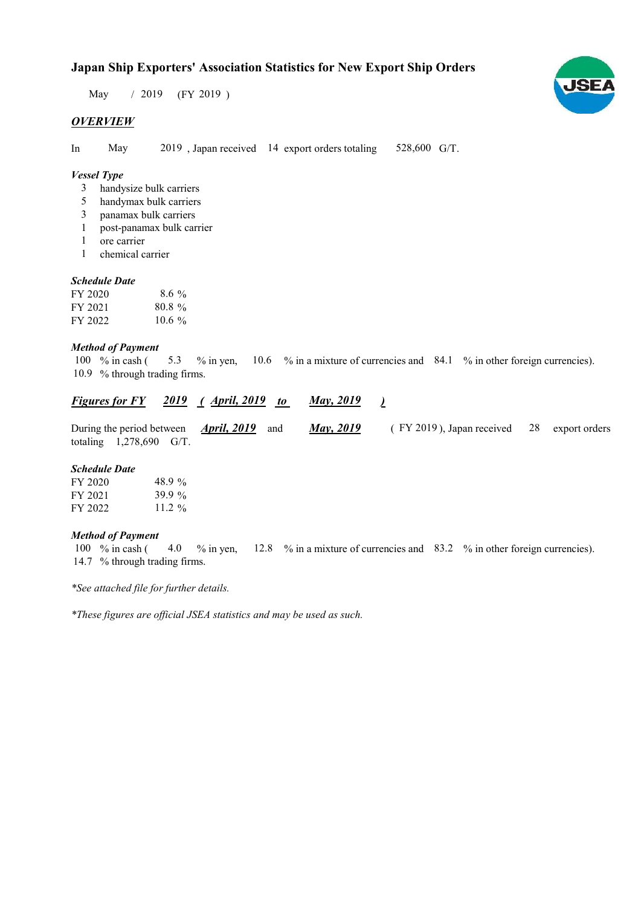# Japan Ship Exporters' Association Statistics for New Export Ship Orders

 $/ 2019$  (FY 2019) May

## **OVERVIEW**

In May 2019, Japan received 14 export orders totaling 528,600 G/T.

## Vessel Type

- handysize bulk carriers 3
- handymax bulk carriers 5
- panamax bulk carriers 3
- post-panamax bulk carrier 1
- ore carrier 1
- chemical carrier 1

## Schedule Date

| FY 2020 | $8.6\%$   |
|---------|-----------|
| FY 2021 | $80.8\%$  |
| FY 2022 | 10.6 $\%$ |

### Method of Payment

% in cash ( $\frac{5.3}{8}$  % in yen,  $\frac{10.6}{8}$  % in a mixture of currencies and  $\frac{84.1}{8}$  % in other foreign currencies). 10.9 % through trading firms. 100  $%$  in cash ( 5.3

|                           | <u>Figures for FY 2019 (April, 2019 to</u>        | <u>May, 2019</u>  |                                               |  |
|---------------------------|---------------------------------------------------|-------------------|-----------------------------------------------|--|
|                           | During the period between <i>April</i> , 2019 and | <b>May</b> , 2019 | $($ FY 2019), Japan received 28 export orders |  |
| totaling $1,278,690$ G/T. |                                                   |                   |                                               |  |

#### Schedule Date

| FY 2020 | 48.9%     |
|---------|-----------|
| FY 2021 | 39.9 $\%$ |
| FY 2022 | $11.2\%$  |

## Method of Payment

% in cash ( $\frac{4.0}{8}$  % in yen,  $\frac{12.8}{8}$  % in a mixture of currencies and  $\frac{83.2}{8}$  % in other foreign currencies). 14.7 % through trading firms. 4.0  $%$  % in yen, 100  $%$  in cash (

\*See attached file for further details.

\*These figures are official JSEA statistics and may be used as such.

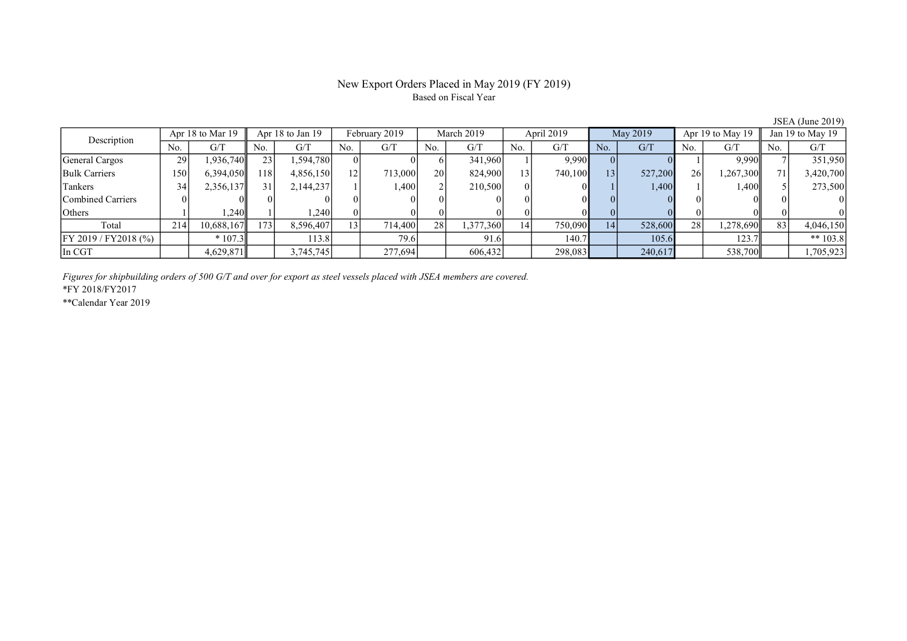# New Export Orders Placed in May 2019 (FY 2019) Based on Fiscal Year

JSEA (June 2019)

| Description              | Apr 18 to Mar 19 |            | Apr $18$ to Jan $19$ |           | February 2019 |         | March 2019      |           | April 2019  |         | May 2019        |         | Apr 19 to May 19 |           | Jan 19 to May 19 |            |
|--------------------------|------------------|------------|----------------------|-----------|---------------|---------|-----------------|-----------|-------------|---------|-----------------|---------|------------------|-----------|------------------|------------|
|                          | No.              | G/T        | No.                  | G/T       | No.           | G/T     | No.             | G/T       | No.         | G/T     | No.             | G/T     | No.              | G/T       | No.              | G/T        |
| General Cargos           | 29               | 1,936,740  | 23                   | 1,594,780 |               |         |                 | 341,960   |             | 9.990   |                 |         |                  | 9.990     |                  | 351,950    |
| <b>Bulk Carriers</b>     | 150'             | 6,394,050  | 18                   | 4,856,150 |               | 713,000 | 20 <sup>1</sup> | 824,900   | $^{\circ}3$ | 740,100 | 13 <sup>1</sup> | 527,200 | <b>26</b>        | 1,267,300 | 71               | 3,420,700  |
| Tankers                  | 34               | 2,356,137  | 31                   | 2,144,237 |               | 1,400   |                 | 210,500   |             | OΙ      |                 | 1,400   |                  | 1,400     |                  | 273,500    |
| <b>Combined Carriers</b> |                  |            |                      |           |               |         |                 |           |             | ΩL      |                 |         |                  |           |                  |            |
| Others                   |                  | ,240       |                      | .2401     |               |         |                 |           |             | ОI      |                 |         |                  |           |                  |            |
| Total                    | 214              | 10,688,167 | 173                  | 8,596,407 |               | 714,400 | 28              | 1,377,360 | 14          | 750,090 | 14              | 528,600 | 28 <sup>1</sup>  | 1,278,690 | 83               | 4,046,150  |
| FY 2019 / FY 2018 (%)    |                  | $*107.3$   |                      | 113.8     |               | 79.6    |                 | 91.6      |             | 140.7   |                 | 105.6   |                  | 123.7     |                  | ** $103.8$ |
| In CGT                   |                  | 4,629,871  |                      | 3,745,745 |               | 277,694 |                 | 606,432   |             | 298,083 |                 | 240,617 |                  | 538,700   |                  | 1,705,923  |

Figures for shipbuilding orders of 500 G/T and over for export as steel vessels placed with JSEA members are covered.

\*FY 2018/FY2017

\*\*Calendar Year 2019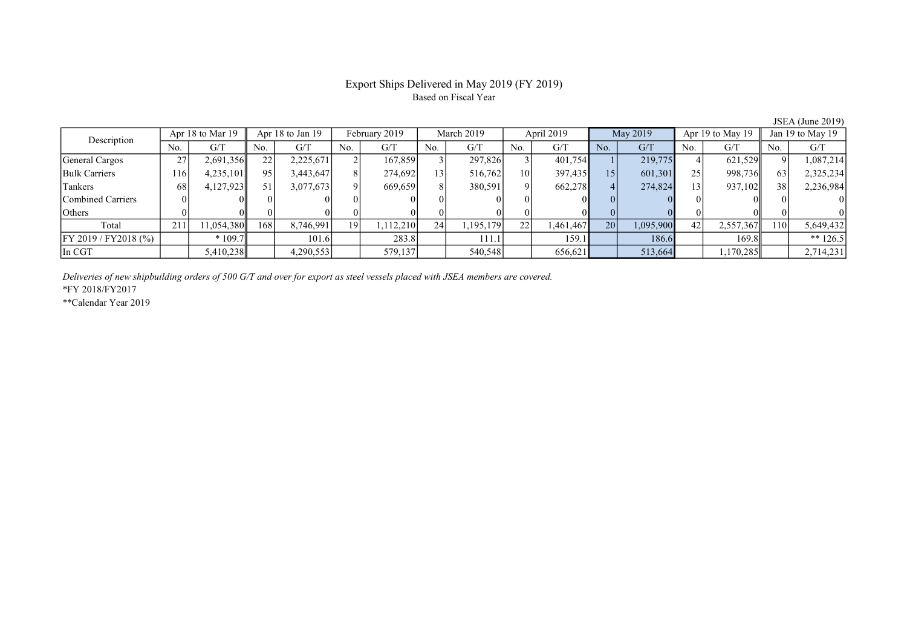# Export Ships Delivered in May 2019 (FY 2019) Based on Fiscal Year

JSEA (June 2019)

| Description               | Apr 18 to Mar 19 |           | Apr 18 to Jan 19 |           | February 2019 |          | March 2019   |           | April 2019      |           | May 2019        |           | Apr 19 to May 19 |           | Jan 19 to May 19 |            |
|---------------------------|------------------|-----------|------------------|-----------|---------------|----------|--------------|-----------|-----------------|-----------|-----------------|-----------|------------------|-----------|------------------|------------|
|                           | No.              | G/T       | No.              | G/T       | No.           | G/T      | No.          | G/T       | No.             | G/T       | No.             | G/T       | No.              | G/T       | No.              | G/T        |
| General Cargos            | 27               | 2,691,356 | 22               | 2,225,671 |               | 167,859  |              | 297,826   |                 | 401,754   |                 | 219,775   |                  | 621,529   | $\Omega$         | 1,087,214  |
| <b>Bulk Carriers</b>      | 116              | 4,235,101 | 95               | 3,443,647 |               | 274,692  | $\mathbf{3}$ | 516,762   | 10 <sup> </sup> | 397,435   | 15 <sub>1</sub> | 601,301   | 251              | 998,736   | 63               | 2,325,234  |
| Tankers                   | 68               | 4,127,923 | 51               | 3,077,673 |               | 669,659  | 8            | 380,591   | 9               | 662,278   |                 | 274,824   | 13 <sub>1</sub>  | 937,102   | 38               | 2,236,984  |
| Combined Carriers         |                  |           |                  |           |               |          |              |           |                 |           |                 |           |                  |           |                  |            |
| <b>Others</b>             |                  |           |                  |           |               |          |              |           |                 |           |                 |           |                  |           |                  |            |
| Total                     | 211              | 1,054,380 | 168              | 8,746,991 | 19 I          | .112,210 | 24           | 1,195,179 | 22              | 1,461,467 | 20              | 1,095,900 | 42               | 2,557,367 | 110I             | 5,649,432  |
| $[$ FY 2019 / FY 2018 (%) |                  | $*109.7$  |                  | 101.6     |               | 283.8    |              | 111.1     |                 | 159.1     |                 | 186.6     |                  | 169.8     |                  | ** $126.5$ |
| In CGT                    |                  | 5,410,238 |                  | 4,290,553 |               | 579,137  |              | 540,548   |                 | 656,621   |                 | 513,664   |                  | 1,170,285 |                  | 2,714,231  |

Deliveries of new shipbuilding orders of 500 G/T and over for export as steel vessels placed with JSEA members are covered.

\*FY 2018/FY2017

\*\*Calendar Year 2019